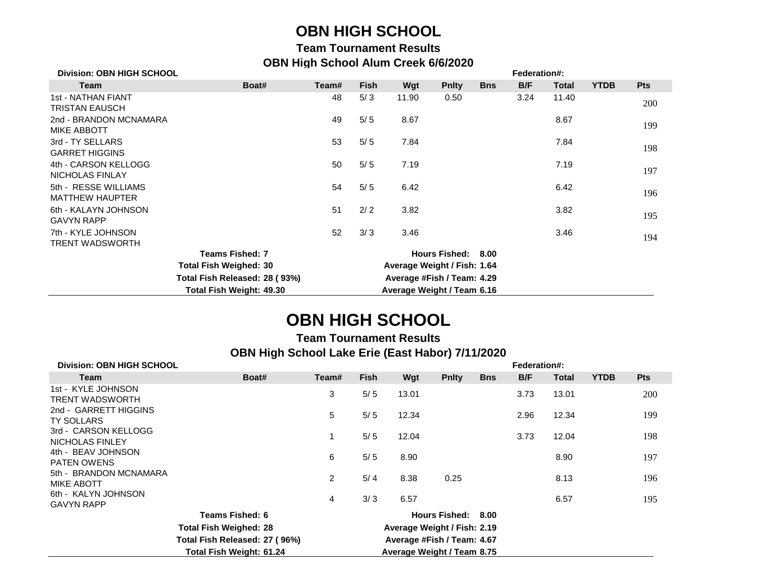### **OBN HIGH SCHOOL**

#### **Team Tournament Results OBN High School Alum Creek 6/6/2020**

| <b>Division: OBN HIGH SCHOOL</b>               |                          |                             |             |                            | Federation#:       |            |      |       |             |            |
|------------------------------------------------|--------------------------|-----------------------------|-------------|----------------------------|--------------------|------------|------|-------|-------------|------------|
| Team                                           | Boat#                    | Team#                       | <b>Fish</b> | Wgt                        | <b>Pnity</b>       | <b>Bns</b> | B/F  | Total | <b>YTDB</b> | <b>Pts</b> |
| 1st - NATHAN FIANT<br><b>TRISTAN EAUSCH</b>    |                          | 48                          | 5/3         | 11.90                      | 0.50               |            | 3.24 | 11.40 |             | 200        |
| 2nd - BRANDON MCNAMARA<br><b>MIKE ABBOTT</b>   |                          | 49                          | 5/5         | 8.67                       |                    |            |      | 8.67  |             | 199        |
| 3rd - TY SELLARS<br><b>GARRET HIGGINS</b>      |                          | 53                          | 5/5         | 7.84                       |                    |            |      | 7.84  |             | 198        |
| 4th - CARSON KELLOGG<br>NICHOLAS FINLAY        |                          | 50                          | 5/5         | 7.19                       |                    |            |      | 7.19  |             | 197        |
| 5th - RESSE WILLIAMS<br><b>MATTHEW HAUPTER</b> |                          | 54                          | 5/5         | 6.42                       |                    |            |      | 6.42  |             | 196        |
| 6th - KALAYN JOHNSON<br><b>GAVYN RAPP</b>      |                          | 51                          | 2/2         | 3.82                       |                    |            |      | 3.82  |             | 195        |
| 7th - KYLE JOHNSON<br><b>TRENT WADSWORTH</b>   |                          | 52                          | 3/3         | 3.46                       |                    |            |      | 3.46  |             | 194        |
|                                                | <b>Teams Fished: 7</b>   |                             |             |                            | Hours Fished: 8.00 |            |      |       |             |            |
| <b>Total Fish Weighed: 30</b>                  |                          | Average Weight / Fish: 1.64 |             |                            |                    |            |      |       |             |            |
| Total Fish Released: 28 (93%)                  |                          | Average #Fish / Team: 4.29  |             |                            |                    |            |      |       |             |            |
|                                                | Total Fish Weight: 49.30 |                             |             | Average Weight / Team 6.16 |                    |            |      |       |             |            |

## **OBN HIGH SCHOOL**

#### **Team Tournament Results OBN High School Lake Erie (East Habor) 7/11/2020**

| <b>Division: OBN HIGH SCHOOL</b>            |                                                             | Federation#:   |                                                   |       |              |            |      |              |             |            |
|---------------------------------------------|-------------------------------------------------------------|----------------|---------------------------------------------------|-------|--------------|------------|------|--------------|-------------|------------|
| Team                                        | Boat#                                                       | Team#          | <b>Fish</b>                                       | Wgt   | <b>Pnity</b> | <b>Bns</b> | B/F  | <b>Total</b> | <b>YTDB</b> | <b>Pts</b> |
| 1st - KYLE JOHNSON<br>TRENT WADSWORTH       |                                                             | 3              | 5/5                                               | 13.01 |              |            | 3.73 | 13.01        |             | 200        |
| 2nd - GARRETT HIGGINS<br>TY SOLLARS         |                                                             | 5              | 5/5                                               | 12.34 |              |            | 2.96 | 12.34        |             | 199        |
| 3rd - CARSON KELLOGG<br>NICHOLAS FINLEY     |                                                             |                | 5/5                                               | 12.04 |              |            | 3.73 | 12.04        |             | 198        |
| 4th - BEAV JOHNSON<br><b>PATEN OWENS</b>    |                                                             | 6              | 5/5                                               | 8.90  |              |            |      | 8.90         |             | 197        |
| 5th - BRANDON MCNAMARA<br><b>MIKE ABOTT</b> |                                                             | $\overline{2}$ | 5/4                                               | 8.38  | 0.25         |            |      | 8.13         |             | 196        |
| 6th - KALYN JOHNSON<br><b>GAVYN RAPP</b>    |                                                             | 4              | 3/3                                               | 6.57  |              |            |      | 6.57         |             | 195        |
|                                             | Teams Fished: 6                                             |                | Hours Fished: 8.00<br>Average Weight / Fish: 2.19 |       |              |            |      |              |             |            |
|                                             | <b>Total Fish Weighed: 28</b>                               |                |                                                   |       |              |            |      |              |             |            |
|                                             | Total Fish Released: 27 (96%)<br>Average #Fish / Team: 4.67 |                |                                                   |       |              |            |      |              |             |            |
|                                             | Total Fish Weight: 61.24<br>Average Weight / Team 8.75      |                |                                                   |       |              |            |      |              |             |            |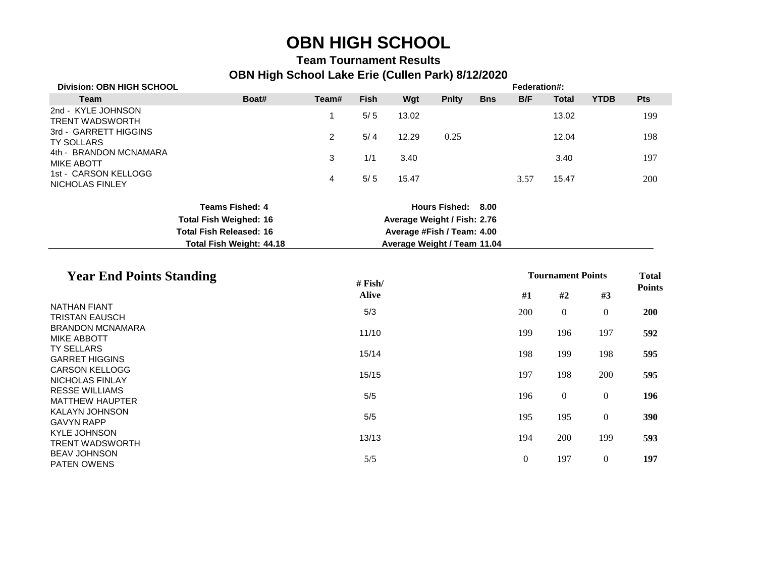# **OBN HIGH SCHOOL**

#### **Team Tournament Results OBN High School Lake Erie (Cullen Park) 8/12/2020**

| <b>Division: OBN HIGH SCHOOL</b>                 |                                                                 |                            |                             |       |                             |            | Federation#:             |                  |                  |               |  |
|--------------------------------------------------|-----------------------------------------------------------------|----------------------------|-----------------------------|-------|-----------------------------|------------|--------------------------|------------------|------------------|---------------|--|
| <b>Team</b>                                      | Boat#                                                           | Team#                      | <b>Fish</b>                 | Wgt   | <b>Pnlty</b>                | <b>Bns</b> | B/F                      | <b>Total</b>     | <b>YTDB</b>      | Pts           |  |
| 2nd - KYLE JOHNSON<br><b>TRENT WADSWORTH</b>     |                                                                 | 1                          | $5/5$                       | 13.02 |                             |            |                          | 13.02            |                  | 199           |  |
| 3rd - GARRETT HIGGINS<br><b>TY SOLLARS</b>       |                                                                 | $\overline{2}$             | 5/4                         | 12.29 | 0.25                        |            |                          | 12.04            |                  | 198           |  |
| 4th - BRANDON MCNAMARA<br><b>MIKE ABOTT</b>      |                                                                 | 3                          | 1/1                         | 3.40  |                             |            |                          | 3.40             |                  | 197           |  |
| 1st - CARSON KELLOGG<br>NICHOLAS FINLEY          |                                                                 | 4                          | $5/5$                       | 15.47 |                             |            | 3.57                     | 15.47            |                  | 200           |  |
|                                                  | <b>Teams Fished: 4</b>                                          |                            |                             |       | Hours Fished: 8.00          |            |                          |                  |                  |               |  |
|                                                  | <b>Total Fish Weighed: 16</b><br><b>Total Fish Released: 16</b> |                            | Average Weight / Fish: 2.76 |       |                             |            |                          |                  |                  |               |  |
|                                                  |                                                                 | Average #Fish / Team: 4.00 |                             |       |                             |            |                          |                  |                  |               |  |
|                                                  | Total Fish Weight: 44.18                                        |                            |                             |       | Average Weight / Team 11.04 |            |                          |                  |                  |               |  |
| <b>Year End Points Standing</b>                  |                                                                 | # $Fish/$                  |                             |       |                             |            | <b>Tournament Points</b> |                  |                  | <b>Total</b>  |  |
|                                                  |                                                                 |                            | <b>Alive</b>                |       |                             |            | #1                       | #2               | #3               | <b>Points</b> |  |
| <b>NATHAN FIANT</b>                              |                                                                 |                            | 5/3                         |       |                             |            | 200                      | $\boldsymbol{0}$ | $\boldsymbol{0}$ | 200           |  |
| <b>TRISTAN EAUSCH</b><br><b>BRANDON MCNAMARA</b> |                                                                 |                            |                             |       |                             |            |                          |                  |                  |               |  |
| <b>MIKE ABBOTT</b>                               |                                                                 |                            | 11/10                       |       |                             |            | 199                      | 196              | 197              | 592           |  |
| TY SELLARS                                       |                                                                 |                            | 15/14                       |       |                             |            | 198                      | 199              | 198              | 595           |  |
| <b>GARRET HIGGINS</b><br><b>CARSON KELLOGG</b>   |                                                                 |                            |                             |       |                             |            |                          |                  |                  |               |  |
| NICHOLAS FINLAY                                  |                                                                 |                            | 15/15                       |       |                             |            | 197                      | 198              | 200              | 595           |  |
| <b>RESSE WILLIAMS</b><br><b>MATTHEW HAUPTER</b>  |                                                                 |                            | 5/5                         |       |                             |            | 196                      | $\boldsymbol{0}$ | $\overline{0}$   | 196           |  |
| <b>KALAYN JOHNSON</b>                            |                                                                 |                            |                             |       |                             |            |                          |                  |                  |               |  |
| <b>GAVYN RAPP</b>                                |                                                                 |                            | 5/5                         |       |                             |            | 195                      | 195              | $\overline{0}$   | 390           |  |
| <b>KYLE JOHNSON</b>                              |                                                                 |                            | 13/13                       |       |                             |            | 194                      | 200              | 199              | 593           |  |
| <b>TRENT WADSWORTH</b><br><b>BEAV JOHNSON</b>    |                                                                 |                            |                             |       |                             |            |                          |                  |                  |               |  |
| PATEN OWENS                                      |                                                                 |                            | 5/5                         |       |                             |            | $\boldsymbol{0}$         | 197              | $\overline{0}$   | 197           |  |